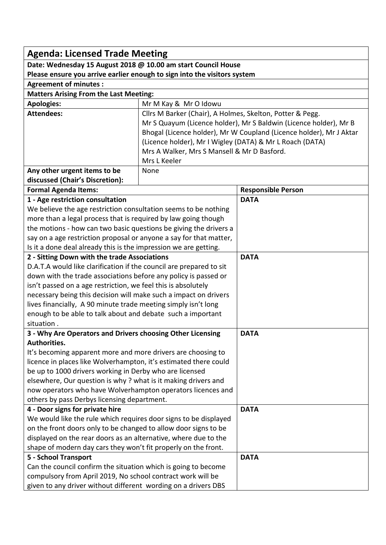| <b>Agenda: Licensed Trade Meeting</b>                                                                                             |                                                                     |                           |  |
|-----------------------------------------------------------------------------------------------------------------------------------|---------------------------------------------------------------------|---------------------------|--|
| Date: Wednesday 15 August 2018 @ 10.00 am start Council House                                                                     |                                                                     |                           |  |
| Please ensure you arrive earlier enough to sign into the visitors system                                                          |                                                                     |                           |  |
| <b>Agreement of minutes:</b>                                                                                                      |                                                                     |                           |  |
| <b>Matters Arising From the Last Meeting:</b>                                                                                     |                                                                     |                           |  |
| <b>Apologies:</b>                                                                                                                 | Mr M Kay & Mr O Idowu                                               |                           |  |
| <b>Attendees:</b>                                                                                                                 | Cllrs M Barker (Chair), A Holmes, Skelton, Potter & Pegg.           |                           |  |
|                                                                                                                                   | Mr S Quayum (Licence holder), Mr S Baldwin (Licence holder), Mr B   |                           |  |
|                                                                                                                                   | Bhogal (Licence holder), Mr W Coupland (Licence holder), Mr J Aktar |                           |  |
|                                                                                                                                   | (Licence holder), Mr I Wigley (DATA) & Mr L Roach (DATA)            |                           |  |
|                                                                                                                                   | Mrs A Walker, Mrs S Mansell & Mr D Basford.                         |                           |  |
|                                                                                                                                   | Mrs L Keeler                                                        |                           |  |
| Any other urgent items to be                                                                                                      | None                                                                |                           |  |
| discussed (Chair's Discretion):                                                                                                   |                                                                     |                           |  |
| <b>Formal Agenda Items:</b>                                                                                                       |                                                                     | <b>Responsible Person</b> |  |
| 1 - Age restriction consultation                                                                                                  |                                                                     | <b>DATA</b>               |  |
| We believe the age restriction consultation seems to be nothing                                                                   |                                                                     |                           |  |
| more than a legal process that is required by law going though                                                                    |                                                                     |                           |  |
| the motions - how can two basic questions be giving the drivers a                                                                 |                                                                     |                           |  |
| say on a age restriction proposal or anyone a say for that matter,                                                                |                                                                     |                           |  |
| Is it a done deal already this is the impression we are getting.                                                                  |                                                                     |                           |  |
| 2 - Sitting Down with the trade Associations                                                                                      |                                                                     | <b>DATA</b>               |  |
| D.A.T.A would like clarification if the council are prepared to sit                                                               |                                                                     |                           |  |
| down with the trade associations before any policy is passed or                                                                   |                                                                     |                           |  |
| isn't passed on a age restriction, we feel this is absolutely<br>necessary being this decision will make such a impact on drivers |                                                                     |                           |  |
| lives financially, A 90 minute trade meeting simply isn't long                                                                    |                                                                     |                           |  |
| enough to be able to talk about and debate such a important                                                                       |                                                                     |                           |  |
| situation.                                                                                                                        |                                                                     |                           |  |
| 3 - Why Are Operators and Drivers choosing Other Licensing                                                                        |                                                                     | <b>DATA</b>               |  |
| Authorities.                                                                                                                      |                                                                     |                           |  |
| It's becoming apparent more and more drivers are choosing to                                                                      |                                                                     |                           |  |
| licence in places like Wolverhampton, it's estimated there could                                                                  |                                                                     |                           |  |
| be up to 1000 drivers working in Derby who are licensed                                                                           |                                                                     |                           |  |
| elsewhere, Our question is why? what is it making drivers and                                                                     |                                                                     |                           |  |
| now operators who have Wolverhampton operators licences and                                                                       |                                                                     |                           |  |
| others by pass Derbys licensing department.                                                                                       |                                                                     |                           |  |
| 4 - Door signs for private hire                                                                                                   |                                                                     | <b>DATA</b>               |  |
| We would like the rule which requires door signs to be displayed                                                                  |                                                                     |                           |  |
| on the front doors only to be changed to allow door signs to be                                                                   |                                                                     |                           |  |
| displayed on the rear doors as an alternative, where due to the                                                                   |                                                                     |                           |  |
| shape of modern day cars they won't fit properly on the front.                                                                    |                                                                     |                           |  |
| 5 - School Transport                                                                                                              |                                                                     | <b>DATA</b>               |  |
| Can the council confirm the situation which is going to become                                                                    |                                                                     |                           |  |
| compulsory from April 2019, No school contract work will be                                                                       |                                                                     |                           |  |
| given to any driver without different wording on a drivers DBS                                                                    |                                                                     |                           |  |